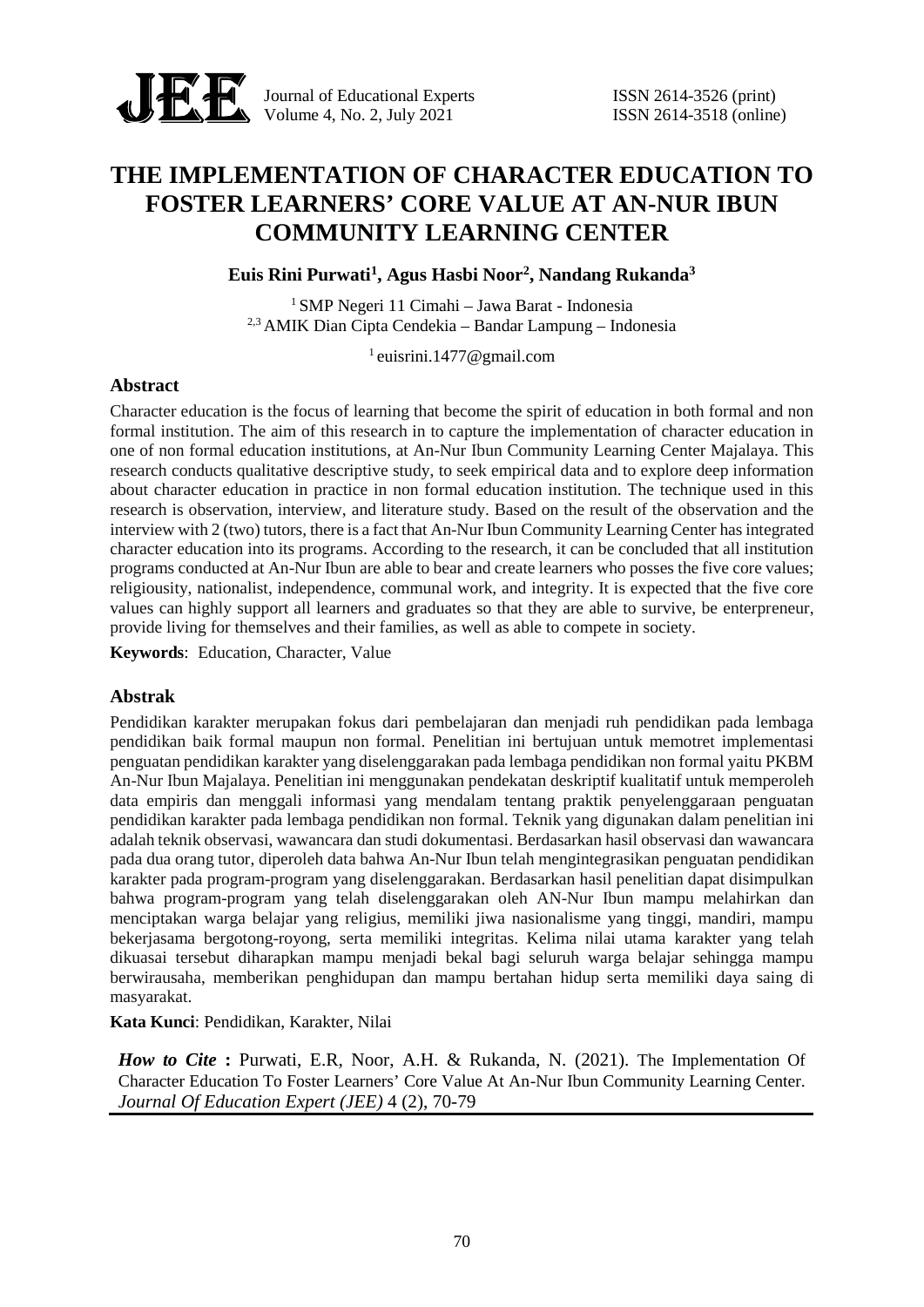

Journal of Educational Experts ISSN 2614-3526 (print) Volume 4, No. 2, July 2021 **ISSN** 2614-3518 (online)

# **THE IMPLEMENTATION OF CHARACTER EDUCATION TO FOSTER LEARNERS' CORE VALUE AT AN-NUR IBUN COMMUNITY LEARNING CENTER**

**Euis Rini Purwati<sup>1</sup> , Agus Hasbi Noor<sup>2</sup> , Nandang Rukanda<sup>3</sup>**

<sup>1</sup> SMP Negeri 11 Cimahi – Jawa Barat - Indonesia 2,3 AMIK Dian Cipta Cendekia – Bandar Lampung – Indonesia

 $1$  euisrini.1477@gmail.com

### **Abstract**

Character education is the focus of learning that become the spirit of education in both formal and non formal institution. The aim of this research in to capture the implementation of character education in one of non formal education institutions, at An-Nur Ibun Community Learning Center Majalaya. This research conducts qualitative descriptive study, to seek empirical data and to explore deep information about character education in practice in non formal education institution. The technique used in this research is observation, interview, and literature study. Based on the result of the observation and the interview with 2 (two) tutors, there is a fact that An-Nur Ibun Community Learning Center has integrated character education into its programs. According to the research, it can be concluded that all institution programs conducted at An-Nur Ibun are able to bear and create learners who posses the five core values; religiousity, nationalist, independence, communal work, and integrity. It is expected that the five core values can highly support all learners and graduates so that they are able to survive, be enterpreneur, provide living for themselves and their families, as well as able to compete in society.

**Keywords**: Education, Character, Value

### **Abstrak**

Pendidikan karakter merupakan fokus dari pembelajaran dan menjadi ruh pendidikan pada lembaga pendidikan baik formal maupun non formal. Penelitian ini bertujuan untuk memotret implementasi penguatan pendidikan karakter yang diselenggarakan pada lembaga pendidikan non formal yaitu PKBM An-Nur Ibun Majalaya. Penelitian ini menggunakan pendekatan deskriptif kualitatif untuk memperoleh data empiris dan menggali informasi yang mendalam tentang praktik penyelenggaraan penguatan pendidikan karakter pada lembaga pendidikan non formal. Teknik yang digunakan dalam penelitian ini adalah teknik observasi, wawancara dan studi dokumentasi. Berdasarkan hasil observasi dan wawancara pada dua orang tutor, diperoleh data bahwa An-Nur Ibun telah mengintegrasikan penguatan pendidikan karakter pada program-program yang diselenggarakan. Berdasarkan hasil penelitian dapat disimpulkan bahwa program-program yang telah diselenggarakan oleh AN-Nur Ibun mampu melahirkan dan menciptakan warga belajar yang religius, memiliki jiwa nasionalisme yang tinggi, mandiri, mampu bekerjasama bergotong-royong, serta memiliki integritas. Kelima nilai utama karakter yang telah dikuasai tersebut diharapkan mampu menjadi bekal bagi seluruh warga belajar sehingga mampu berwirausaha, memberikan penghidupan dan mampu bertahan hidup serta memiliki daya saing di masyarakat.

**Kata Kunci**: Pendidikan, Karakter, Nilai

*How to Cite* **:** Purwati, E.R, Noor, A.H. & Rukanda, N. (2021). The Implementation Of Character Education To Foster Learners' Core Value At An-Nur Ibun Community Learning Center. *Journal Of Education Expert (JEE)* 4 (2), 70-79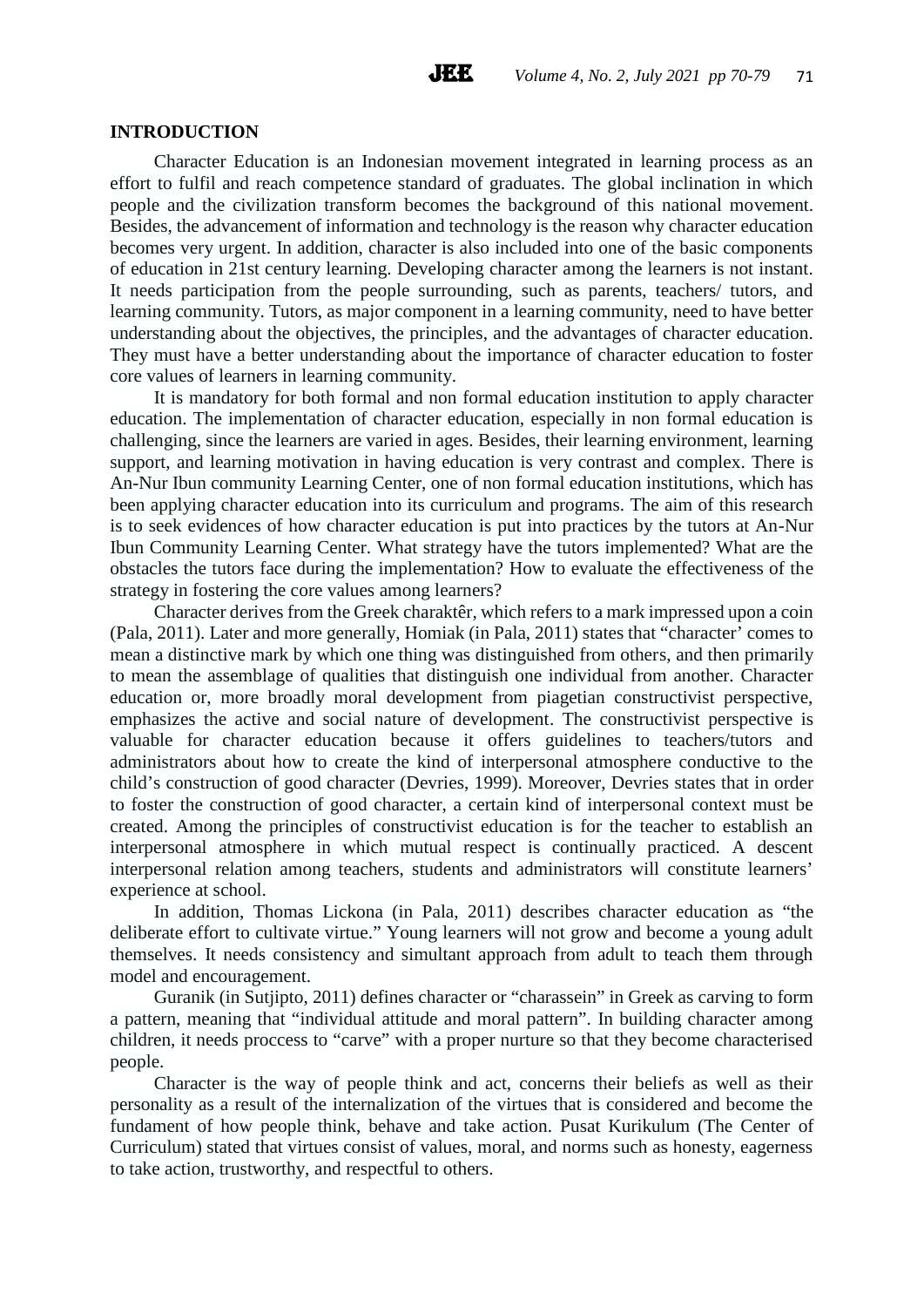### **INTRODUCTION**

Character Education is an Indonesian movement integrated in learning process as an effort to fulfil and reach competence standard of graduates. The global inclination in which people and the civilization transform becomes the background of this national movement. Besides, the advancement of information and technology is the reason why character education becomes very urgent. In addition, character is also included into one of the basic components of education in 21st century learning. Developing character among the learners is not instant. It needs participation from the people surrounding, such as parents, teachers/ tutors, and learning community. Tutors, as major component in a learning community, need to have better understanding about the objectives, the principles, and the advantages of character education. They must have a better understanding about the importance of character education to foster core values of learners in learning community.

It is mandatory for both formal and non formal education institution to apply character education. The implementation of character education, especially in non formal education is challenging, since the learners are varied in ages. Besides, their learning environment, learning support, and learning motivation in having education is very contrast and complex. There is An-Nur Ibun community Learning Center, one of non formal education institutions, which has been applying character education into its curriculum and programs. The aim of this research is to seek evidences of how character education is put into practices by the tutors at An-Nur Ibun Community Learning Center. What strategy have the tutors implemented? What are the obstacles the tutors face during the implementation? How to evaluate the effectiveness of the strategy in fostering the core values among learners?

Character derives from the Greek charaktêr, which refers to a mark impressed upon a coin (Pala, 2011). Later and more generally, Homiak (in Pala, 2011) states that "character' comes to mean a distinctive mark by which one thing was distinguished from others, and then primarily to mean the assemblage of qualities that distinguish one individual from another. Character education or, more broadly moral development from piagetian constructivist perspective, emphasizes the active and social nature of development. The constructivist perspective is valuable for character education because it offers guidelines to teachers/tutors and administrators about how to create the kind of interpersonal atmosphere conductive to the child's construction of good character (Devries, 1999). Moreover, Devries states that in order to foster the construction of good character, a certain kind of interpersonal context must be created. Among the principles of constructivist education is for the teacher to establish an interpersonal atmosphere in which mutual respect is continually practiced. A descent interpersonal relation among teachers, students and administrators will constitute learners' experience at school.

In addition, Thomas Lickona (in Pala, 2011) describes character education as "the deliberate effort to cultivate virtue." Young learners will not grow and become a young adult themselves. It needs consistency and simultant approach from adult to teach them through model and encouragement.

Guranik (in Sutjipto, 2011) defines character or "charassein" in Greek as carving to form a pattern, meaning that "individual attitude and moral pattern". In building character among children, it needs proccess to "carve" with a proper nurture so that they become characterised people.

Character is the way of people think and act, concerns their beliefs as well as their personality as a result of the internalization of the virtues that is considered and become the fundament of how people think, behave and take action. Pusat Kurikulum (The Center of Curriculum) stated that virtues consist of values, moral, and norms such as honesty, eagerness to take action, trustworthy, and respectful to others.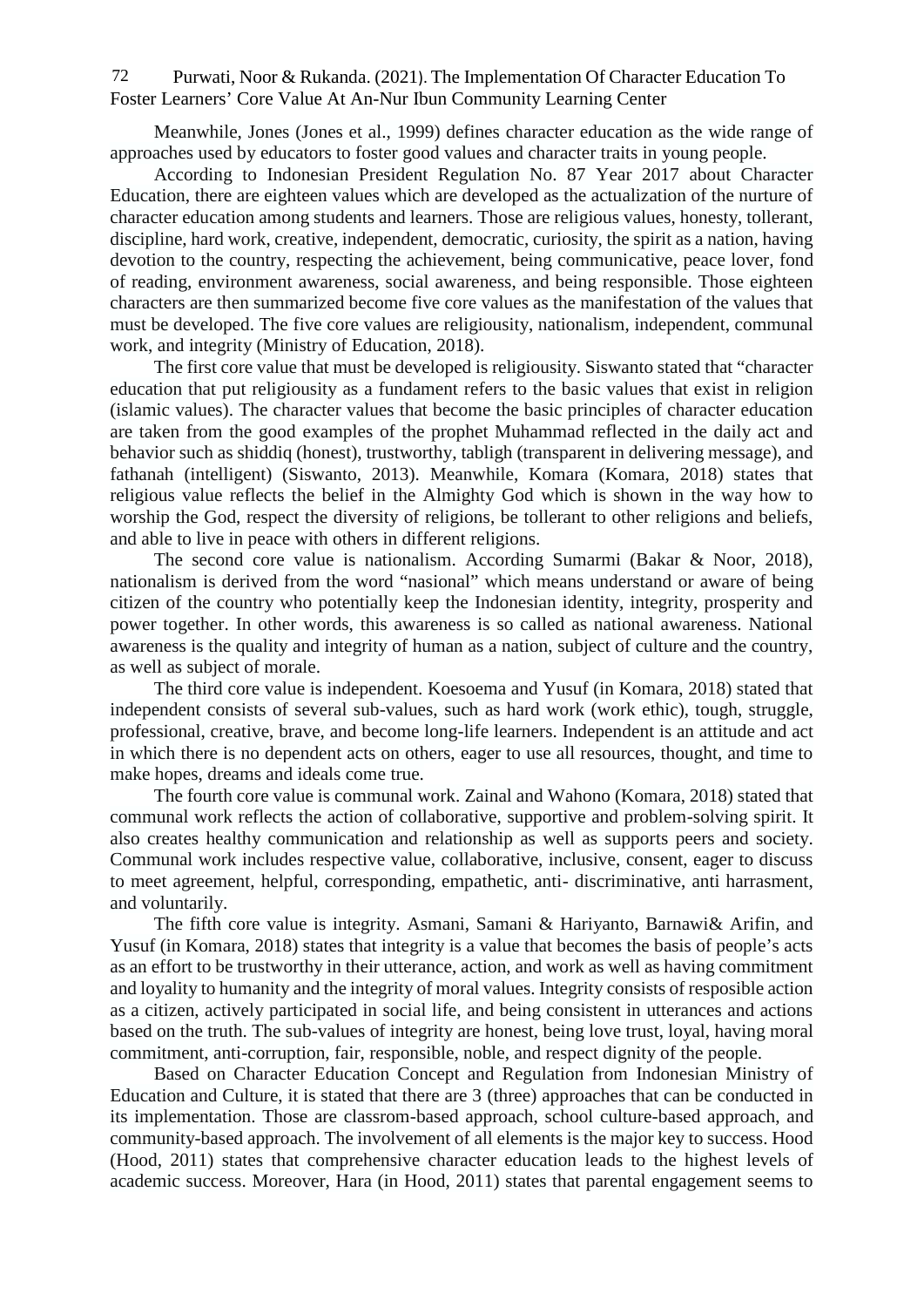Purwati, Noor & Rukanda. (2021). The Implementation Of Character Education To Foster Learners' Core Value At An-Nur Ibun Community Learning Center 72

Meanwhile, Jones (Jones et al., 1999) defines character education as the wide range of approaches used by educators to foster good values and character traits in young people.

According to Indonesian President Regulation No. 87 Year 2017 about Character Education, there are eighteen values which are developed as the actualization of the nurture of character education among students and learners. Those are religious values, honesty, tollerant, discipline, hard work, creative, independent, democratic, curiosity, the spirit as a nation, having devotion to the country, respecting the achievement, being communicative, peace lover, fond of reading, environment awareness, social awareness, and being responsible. Those eighteen characters are then summarized become five core values as the manifestation of the values that must be developed. The five core values are religiousity, nationalism, independent, communal work, and integrity (Ministry of Education, 2018).

The first core value that must be developed is religiousity. Siswanto stated that "character education that put religiousity as a fundament refers to the basic values that exist in religion (islamic values). The character values that become the basic principles of character education are taken from the good examples of the prophet Muhammad reflected in the daily act and behavior such as shiddiq (honest), trustworthy, tabligh (transparent in delivering message), and fathanah (intelligent) (Siswanto, 2013). Meanwhile, Komara (Komara, 2018) states that religious value reflects the belief in the Almighty God which is shown in the way how to worship the God, respect the diversity of religions, be tollerant to other religions and beliefs, and able to live in peace with others in different religions.

The second core value is nationalism. According Sumarmi (Bakar & Noor, 2018), nationalism is derived from the word "nasional" which means understand or aware of being citizen of the country who potentially keep the Indonesian identity, integrity, prosperity and power together. In other words, this awareness is so called as national awareness. National awareness is the quality and integrity of human as a nation, subject of culture and the country, as well as subject of morale.

The third core value is independent. Koesoema and Yusuf (in Komara, 2018) stated that independent consists of several sub-values, such as hard work (work ethic), tough, struggle, professional, creative, brave, and become long-life learners. Independent is an attitude and act in which there is no dependent acts on others, eager to use all resources, thought, and time to make hopes, dreams and ideals come true.

The fourth core value is communal work. Zainal and Wahono (Komara, 2018) stated that communal work reflects the action of collaborative, supportive and problem-solving spirit. It also creates healthy communication and relationship as well as supports peers and society. Communal work includes respective value, collaborative, inclusive, consent, eager to discuss to meet agreement, helpful, corresponding, empathetic, anti- discriminative, anti harrasment, and voluntarily.

The fifth core value is integrity. Asmani, Samani & Hariyanto, Barnawi& Arifin, and Yusuf (in Komara, 2018) states that integrity is a value that becomes the basis of people's acts as an effort to be trustworthy in their utterance, action, and work as well as having commitment and loyality to humanity and the integrity of moral values. Integrity consists of resposible action as a citizen, actively participated in social life, and being consistent in utterances and actions based on the truth. The sub-values of integrity are honest, being love trust, loyal, having moral commitment, anti-corruption, fair, responsible, noble, and respect dignity of the people.

Based on Character Education Concept and Regulation from Indonesian Ministry of Education and Culture, it is stated that there are 3 (three) approaches that can be conducted in its implementation. Those are classrom-based approach, school culture-based approach, and community-based approach. The involvement of all elements is the major key to success. Hood (Hood, 2011) states that comprehensive character education leads to the highest levels of academic success. Moreover, Hara (in Hood, 2011) states that parental engagement seems to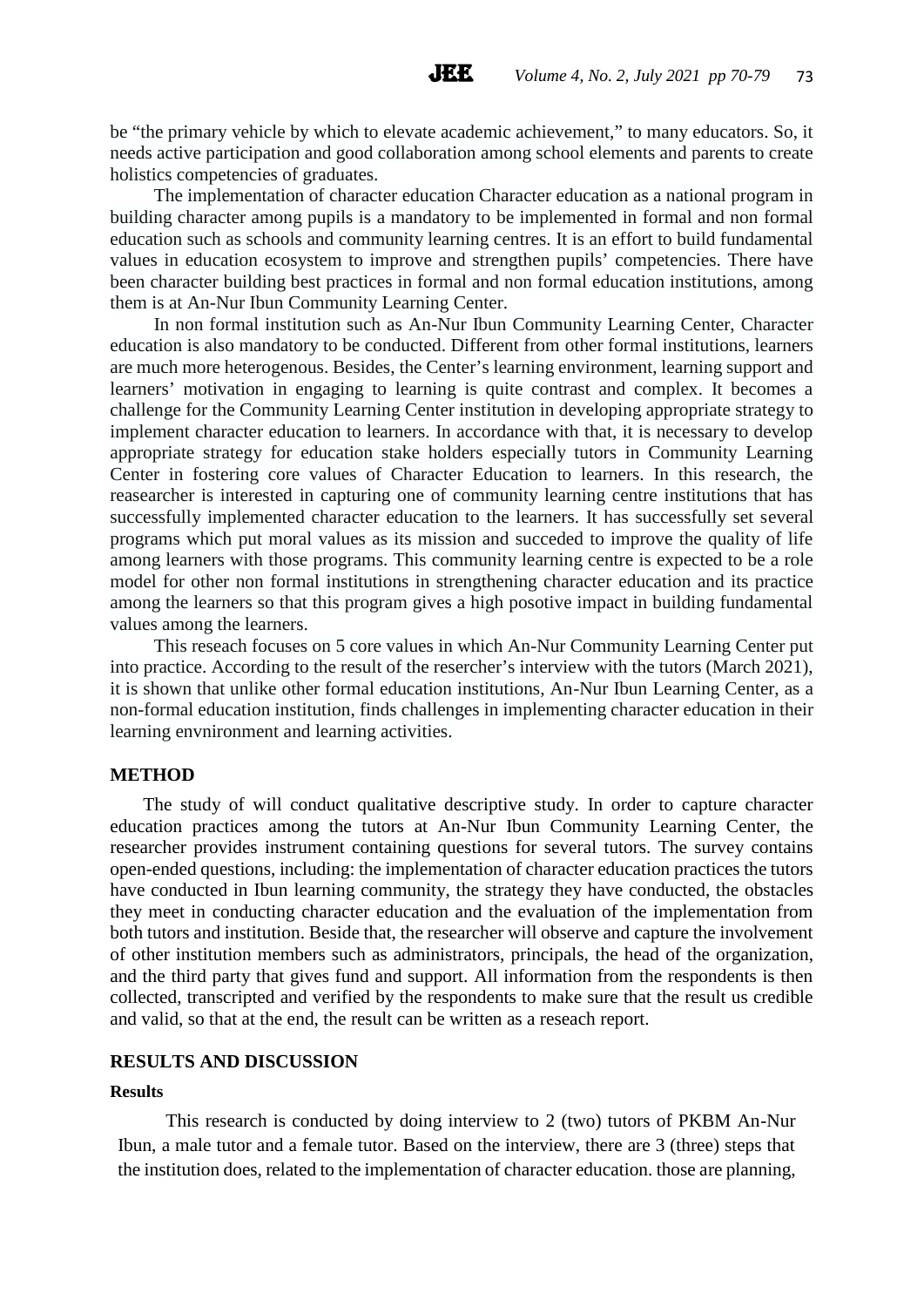be "the primary vehicle by which to elevate academic achievement," to many educators. So, it needs active participation and good collaboration among school elements and parents to create holistics competencies of graduates.

**JEE** 

The implementation of character education Character education as a national program in building character among pupils is a mandatory to be implemented in formal and non formal education such as schools and community learning centres. It is an effort to build fundamental values in education ecosystem to improve and strengthen pupils' competencies. There have been character building best practices in formal and non formal education institutions, among them is at An-Nur Ibun Community Learning Center.

In non formal institution such as An-Nur Ibun Community Learning Center, Character education is also mandatory to be conducted. Different from other formal institutions, learners are much more heterogenous. Besides, the Center's learning environment, learning support and learners' motivation in engaging to learning is quite contrast and complex. It becomes a challenge for the Community Learning Center institution in developing appropriate strategy to implement character education to learners. In accordance with that, it is necessary to develop appropriate strategy for education stake holders especially tutors in Community Learning Center in fostering core values of Character Education to learners. In this research, the reasearcher is interested in capturing one of community learning centre institutions that has successfully implemented character education to the learners. It has successfully set several programs which put moral values as its mission and succeded to improve the quality of life among learners with those programs. This community learning centre is expected to be a role model for other non formal institutions in strengthening character education and its practice among the learners so that this program gives a high posotive impact in building fundamental values among the learners.

This reseach focuses on 5 core values in which An-Nur Community Learning Center put into practice. According to the result of the resercher's interview with the tutors (March 2021), it is shown that unlike other formal education institutions, An-Nur Ibun Learning Center, as a non-formal education institution, finds challenges in implementing character education in their learning envnironment and learning activities.

#### **METHOD**

The study of will conduct qualitative descriptive study. In order to capture character education practices among the tutors at An-Nur Ibun Community Learning Center, the researcher provides instrument containing questions for several tutors. The survey contains open-ended questions, including: the implementation of character education practices the tutors have conducted in Ibun learning community, the strategy they have conducted, the obstacles they meet in conducting character education and the evaluation of the implementation from both tutors and institution. Beside that, the researcher will observe and capture the involvement of other institution members such as administrators, principals, the head of the organization, and the third party that gives fund and support. All information from the respondents is then collected, transcripted and verified by the respondents to make sure that the result us credible and valid, so that at the end, the result can be written as a reseach report.

### **RESULTS AND DISCUSSION**

#### **Results**

This research is conducted by doing interview to 2 (two) tutors of PKBM An-Nur Ibun, a male tutor and a female tutor. Based on the interview, there are 3 (three) steps that the institution does, related to the implementation of character education. those are planning,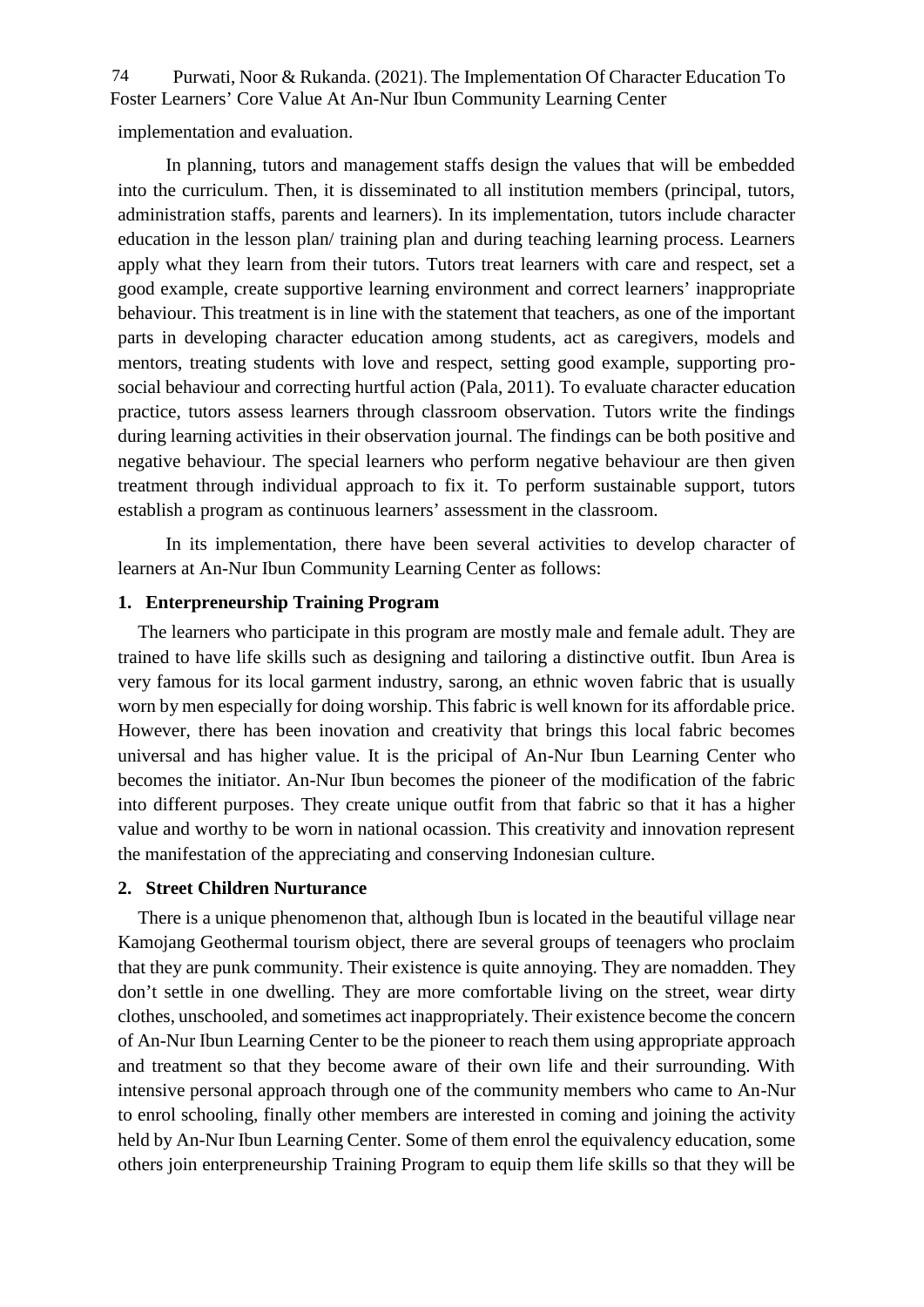Purwati, Noor & Rukanda. (2021). The Implementation Of Character Education To 74 Foster Learners' Core Value At An-Nur Ibun Community Learning Center

implementation and evaluation.

In planning, tutors and management staffs design the values that will be embedded into the curriculum. Then, it is disseminated to all institution members (principal, tutors, administration staffs, parents and learners). In its implementation, tutors include character education in the lesson plan/ training plan and during teaching learning process. Learners apply what they learn from their tutors. Tutors treat learners with care and respect, set a good example, create supportive learning environment and correct learners' inappropriate behaviour. This treatment is in line with the statement that teachers, as one of the important parts in developing character education among students, act as caregivers, models and mentors, treating students with love and respect, setting good example, supporting pro social behaviour and correcting hurtful action (Pala, 2011). To evaluate character education practice, tutors assess learners through classroom observation. Tutors write the findings during learning activities in their observation journal. The findings can be both positive and negative behaviour. The special learners who perform negative behaviour are then given treatment through individual approach to fix it. To perform sustainable support, tutors establish a program as continuous learners' assessment in the classroom.

In its implementation, there have been several activities to develop character of learners at An-Nur Ibun Community Learning Center as follows:

# **1. Enterpreneurship Training Program**

The learners who participate in this program are mostly male and female adult. They are trained to have life skills such as designing and tailoring a distinctive outfit. Ibun Area is very famous for its local garment industry, sarong, an ethnic woven fabric that is usually worn by men especially for doing worship. This fabric is well known for its affordable price. However, there has been inovation and creativity that brings this local fabric becomes universal and has higher value. It is the pricipal of An-Nur Ibun Learning Center who becomes the initiator. An-Nur Ibun becomes the pioneer of the modification of the fabric into different purposes. They create unique outfit from that fabric so that it has a higher value and worthy to be worn in national ocassion. This creativity and innovation represent the manifestation of the appreciating and conserving Indonesian culture.

### **2. Street Children Nurturance**

There is a unique phenomenon that, although Ibun is located in the beautiful village near Kamojang Geothermal tourism object, there are several groups of teenagers who proclaim that they are punk community. Their existence is quite annoying. They are nomadden. They don't settle in one dwelling. They are more comfortable living on the street, wear dirty clothes, unschooled, and sometimes act inappropriately. Their existence become the concern of An-Nur Ibun Learning Center to be the pioneer to reach them using appropriate approach and treatment so that they become aware of their own life and their surrounding. With intensive personal approach through one of the community members who came to An-Nur to enrol schooling, finally other members are interested in coming and joining the activity held by An-Nur Ibun Learning Center. Some of them enrol the equivalency education, some others join enterpreneurship Training Program to equip them life skills so that they will be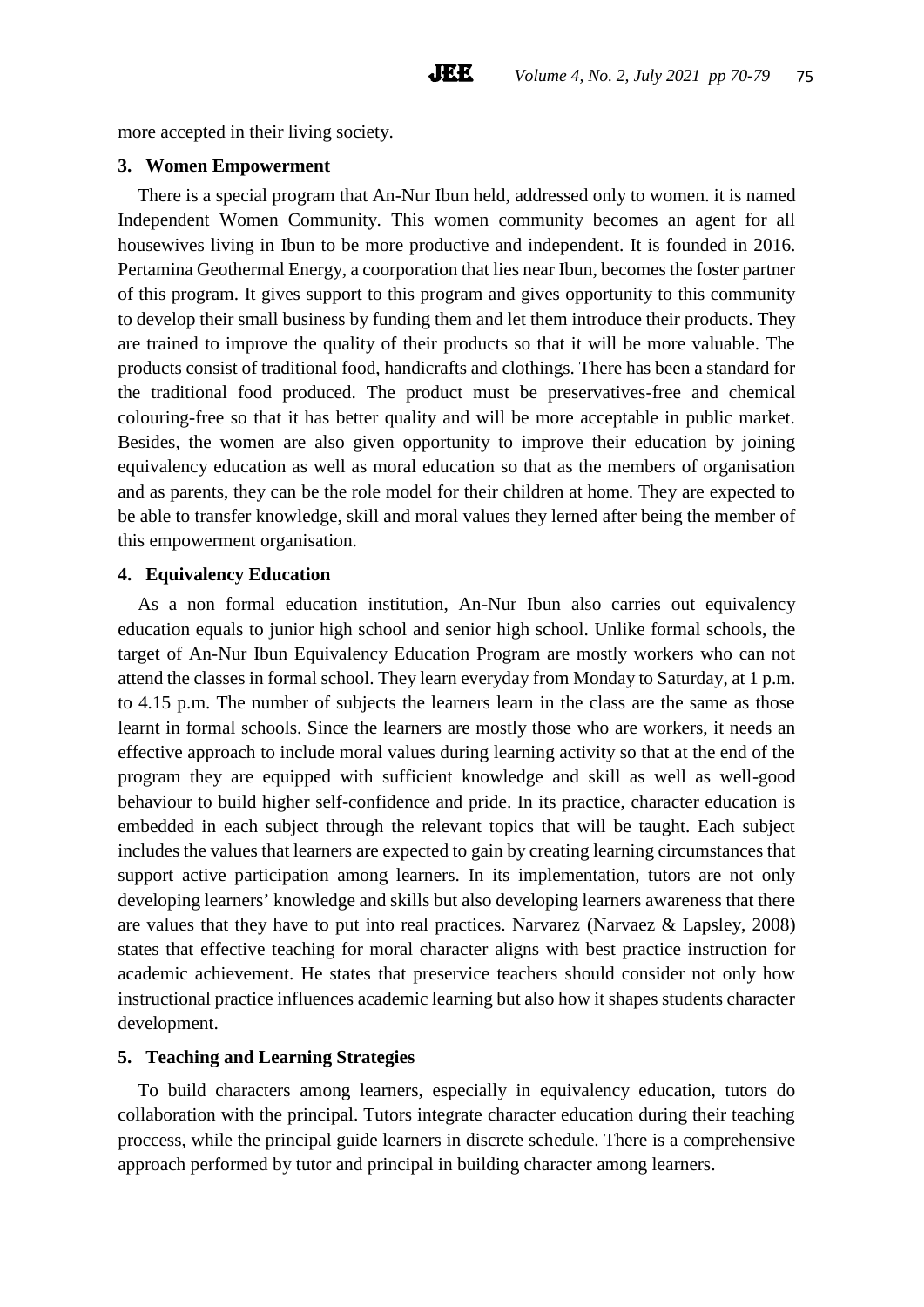more accepted in their living society.

# **3. Women Empowerment**

There is a special program that An-Nur Ibun held, addressed only to women. it is named Independent Women Community. This women community becomes an agent for all housewives living in Ibun to be more productive and independent. It is founded in 2016. Pertamina Geothermal Energy, a coorporation that lies near Ibun, becomes the foster partner of this program. It gives support to this program and gives opportunity to this community to develop their small business by funding them and let them introduce their products. They are trained to improve the quality of their products so that it will be more valuable. The products consist of traditional food, handicrafts and clothings. There has been a standard for the traditional food produced. The product must be preservatives-free and chemical colouring-free so that it has better quality and will be more acceptable in public market. Besides, the women are also given opportunity to improve their education by joining equivalency education as well as moral education so that as the members of organisation and as parents, they can be the role model for their children at home. They are expected to be able to transfer knowledge, skill and moral values they lerned after being the member of this empowerment organisation.

**JEE** 

# **4. Equivalency Education**

As a non formal education institution, An-Nur Ibun also carries out equivalency education equals to junior high school and senior high school. Unlike formal schools, the target of An-Nur Ibun Equivalency Education Program are mostly workers who can not attend the classes in formal school. They learn everyday from Monday to Saturday, at 1 p.m. to 4.15 p.m. The number of subjects the learners learn in the class are the same as those learnt in formal schools. Since the learners are mostly those who are workers, it needs an effective approach to include moral values during learning activity so that at the end of the program they are equipped with sufficient knowledge and skill as well as well-good behaviour to build higher self-confidence and pride. In its practice, character education is embedded in each subject through the relevant topics that will be taught. Each subject includes the values that learners are expected to gain by creating learning circumstances that support active participation among learners. In its implementation, tutors are not only developing learners' knowledge and skills but also developing learners awareness that there are values that they have to put into real practices. Narvarez (Narvaez & Lapsley, 2008) states that effective teaching for moral character aligns with best practice instruction for academic achievement. He states that preservice teachers should consider not only how instructional practice influences academic learning but also how it shapes students character development.

# **5. Teaching and Learning Strategies**

To build characters among learners, especially in equivalency education, tutors do collaboration with the principal. Tutors integrate character education during their teaching proccess, while the principal guide learners in discrete schedule. There is a comprehensive approach performed by tutor and principal in building character among learners.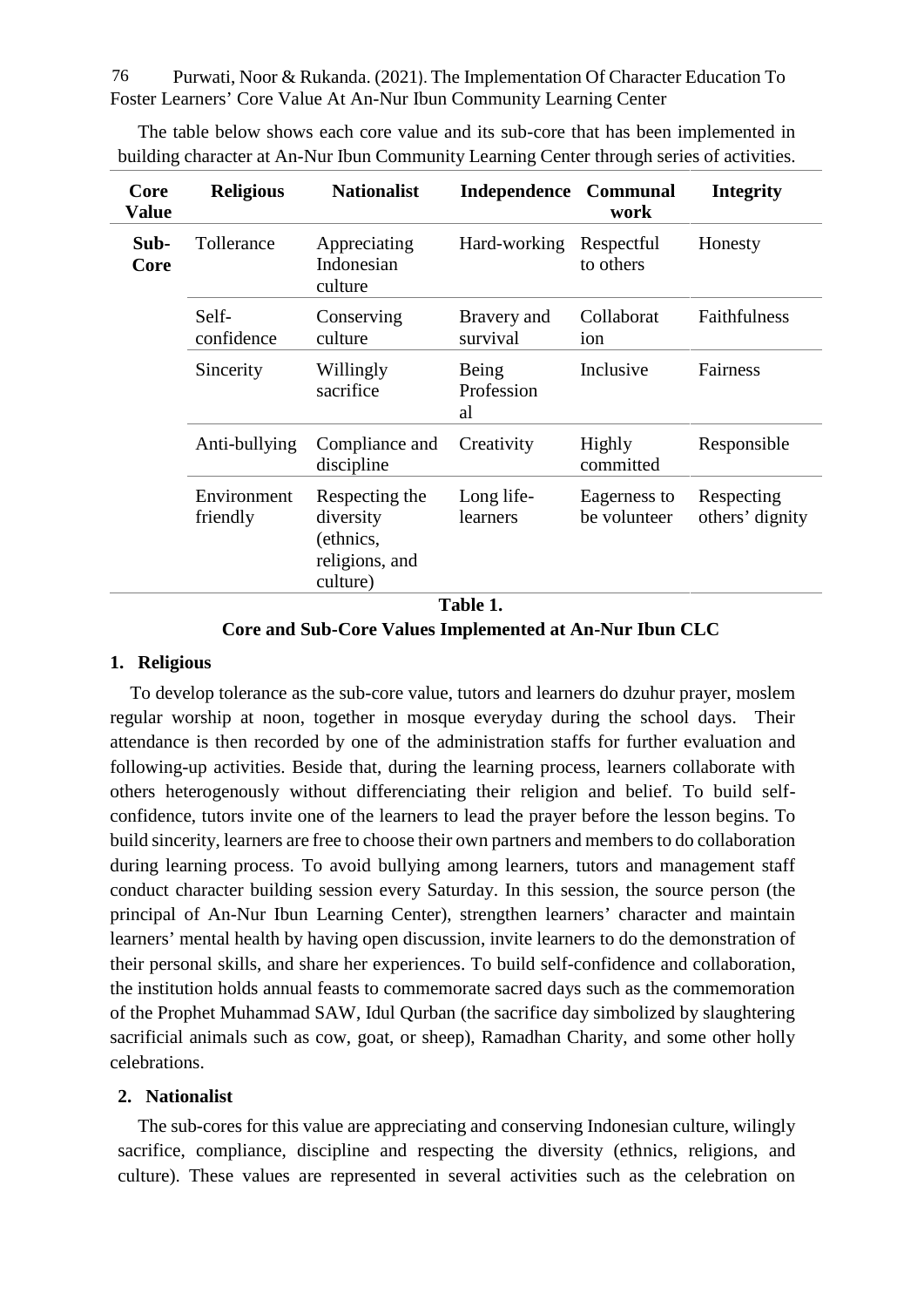Purwati, Noor & Rukanda. (2021). The Implementation Of Character Education To 76 Foster Learners' Core Value At An-Nur Ibun Community Learning Center

| Core<br><b>Value</b> | <b>Religious</b>        | <b>Nationalist</b>                                                     | Independence Communal     | work                         | <b>Integrity</b>              |
|----------------------|-------------------------|------------------------------------------------------------------------|---------------------------|------------------------------|-------------------------------|
| Sub-<br>Core         | Tollerance              | Appreciating<br>Indonesian<br>culture                                  | Hard-working              | Respectful<br>to others      | Honesty                       |
|                      | Self-<br>confidence     | Conserving<br>culture                                                  | Bravery and<br>survival   | Collaborat<br>ion            | Faithfulness                  |
|                      | Sincerity               | Willingly<br>sacrifice                                                 | Being<br>Profession<br>al | Inclusive                    | Fairness                      |
|                      | Anti-bullying           | Compliance and<br>discipline                                           | Creativity                | Highly<br>committed          | Responsible                   |
|                      | Environment<br>friendly | Respecting the<br>diversity<br>(ethnics,<br>religions, and<br>culture) | Long life-<br>learners    | Eagerness to<br>be volunteer | Respecting<br>others' dignity |

The table below shows each core value and its sub-core that has been implemented in building character at An-Nur Ibun Community Learning Center through series of activities.

### **1. Religious**

To develop tolerance as the sub-core value, tutors and learners do dzuhur prayer, moslem regular worship at noon, together in mosque everyday during the school days. Their attendance is then recorded by one of the administration staffs for further evaluation and following-up activities. Beside that, during the learning process, learners collaborate with others heterogenously without differenciating their religion and belief. To build self confidence, tutors invite one of the learners to lead the prayer before the lesson begins. To build sincerity, learners are free to choose their own partners and members to do collaboration during learning process. To avoid bullying among learners, tutors and management staff conduct character building session every Saturday. In this session, the source person (the principal of An-Nur Ibun Learning Center), strengthen learners' character and maintain learners' mental health by having open discussion, invite learners to do the demonstration of their personal skills, and share her experiences. To build self-confidence and collaboration, the institution holds annual feasts to commemorate sacred days such as the commemoration of the Prophet Muhammad SAW, Idul Qurban (the sacrifice day simbolized by slaughtering sacrificial animals such as cow, goat, or sheep), Ramadhan Charity, and some other holly celebrations.

### **2. Nationalist**

The sub-cores for this value are appreciating and conserving Indonesian culture, wilingly sacrifice, compliance, discipline and respecting the diversity (ethnics, religions, and culture). These values are represented in several activities such as the celebration on

**Core and Sub-Core Values Implemented at An-Nur Ibun CLC**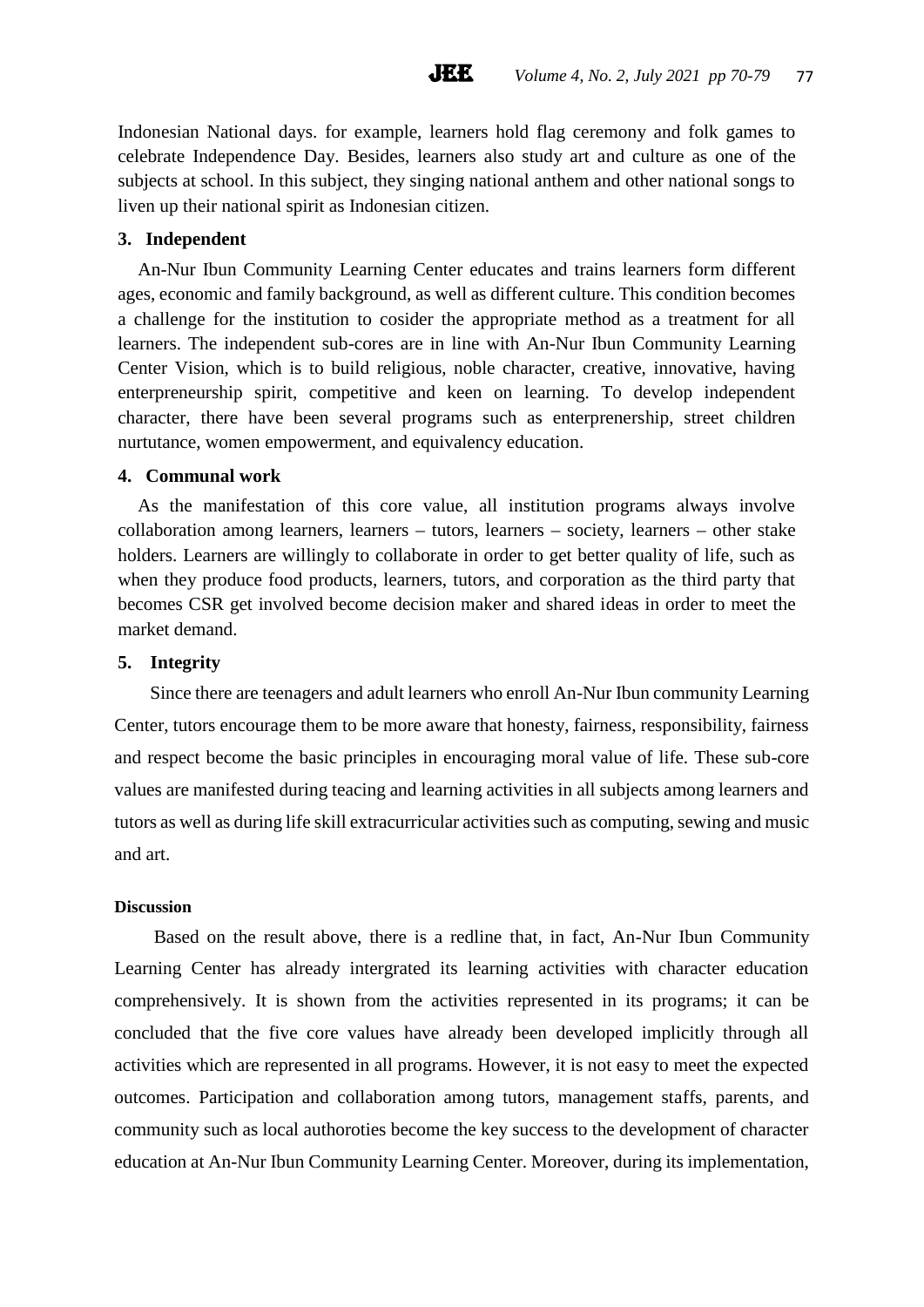Indonesian National days. for example, learners hold flag ceremony and folk games to celebrate Independence Day. Besides, learners also study art and culture as one of the subjects at school. In this subject, they singing national anthem and other national songs to liven up their national spirit as Indonesian citizen.

**JEE** 

# **3. Independent**

An-Nur Ibun Community Learning Center educates and trains learners form different ages, economic and family background, as well as different culture. This condition becomes a challenge for the institution to cosider the appropriate method as a treatment for all learners. The independent sub-cores are in line with An-Nur Ibun Community Learning Center Vision, which is to build religious, noble character, creative, innovative, having enterpreneurship spirit, competitive and keen on learning. To develop independent character, there have been several programs such as enterprenership, street children nurtutance, women empowerment, and equivalency education.

### **4. Communal work**

As the manifestation of this core value, all institution programs always involve collaboration among learners, learners – tutors, learners – society, learners – other stake holders. Learners are willingly to collaborate in order to get better quality of life, such as when they produce food products, learners, tutors, and corporation as the third party that becomes CSR get involved become decision maker and shared ideas in order to meet the market demand.

### **5. Integrity**

Since there are teenagers and adult learners who enroll An-Nur Ibun community Learning Center, tutors encourage them to be more aware that honesty, fairness, responsibility, fairness and respect become the basic principles in encouraging moral value of life. These sub-core values are manifested during teacing and learning activities in all subjects among learners and tutors as well as during life skill extracurricular activities such as computing, sewing and music and art.

# **Discussion**

Based on the result above, there is a redline that, in fact, An-Nur Ibun Community Learning Center has already intergrated its learning activities with character education comprehensively. It is shown from the activities represented in its programs; it can be concluded that the five core values have already been developed implicitly through all activities which are represented in all programs. However, it is not easy to meet the expected outcomes. Participation and collaboration among tutors, management staffs, parents, and community such as local authoroties become the key success to the development of character education at An-Nur Ibun Community Learning Center. Moreover, during its implementation,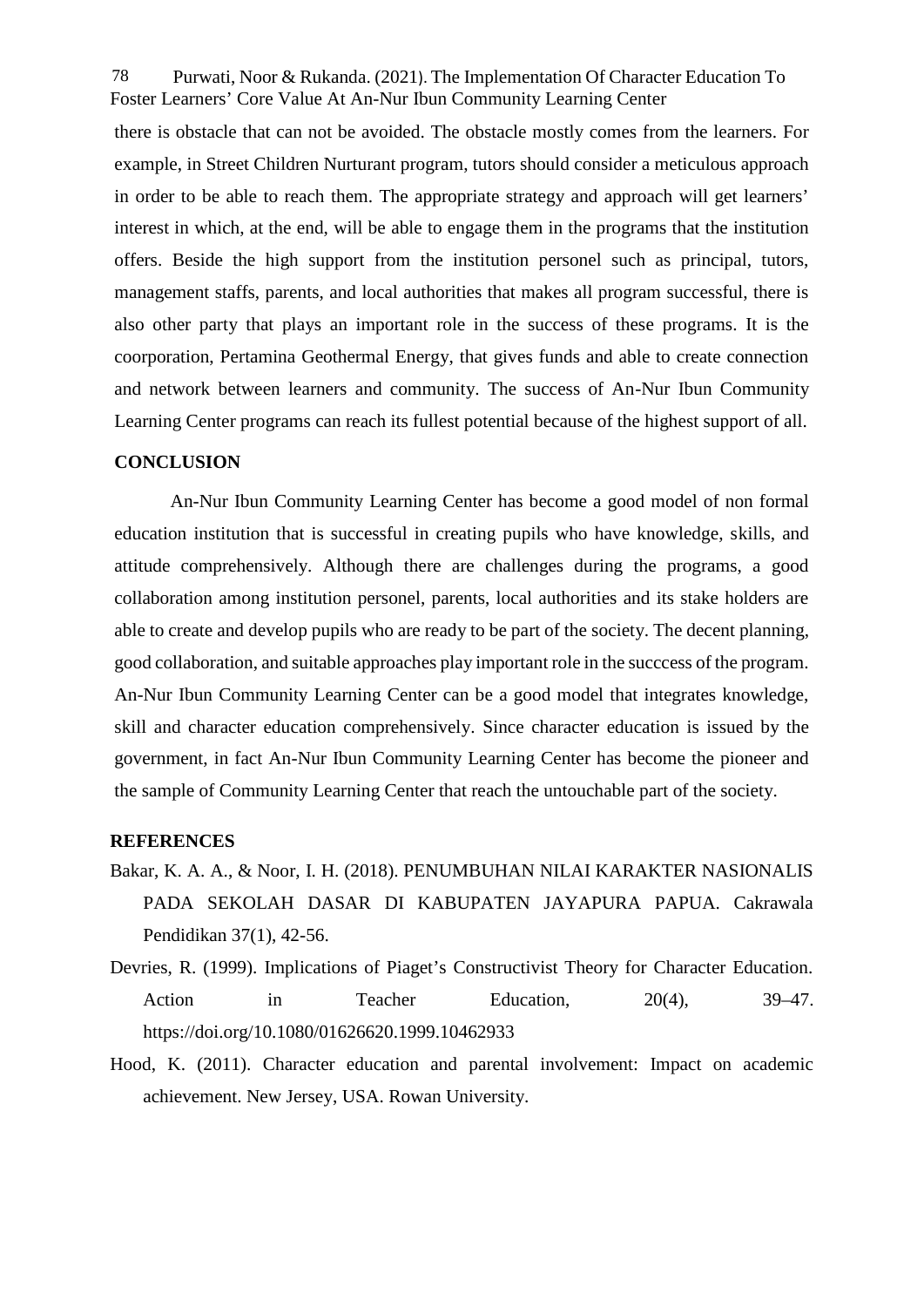Purwati, Noor & Rukanda. (2021). The Implementation Of Character Education To 78 Foster Learners' Core Value At An-Nur Ibun Community Learning Center

there is obstacle that can not be avoided. The obstacle mostly comes from the learners. For example, in Street Children Nurturant program, tutors should consider a meticulous approach in order to be able to reach them. The appropriate strategy and approach will get learners' interest in which, at the end, will be able to engage them in the programs that the institution offers. Beside the high support from the institution personel such as principal, tutors, management staffs, parents, and local authorities that makes all program successful, there is also other party that plays an important role in the success of these programs. It is the coorporation, Pertamina Geothermal Energy, that gives funds and able to create connection and network between learners and community. The success of An-Nur Ibun Community Learning Center programs can reach its fullest potential because of the highest support of all.

### **CONCLUSION**

An-Nur Ibun Community Learning Center has become a good model of non formal education institution that is successful in creating pupils who have knowledge, skills, and attitude comprehensively. Although there are challenges during the programs, a good collaboration among institution personel, parents, local authorities and its stake holders are able to create and develop pupils who are ready to be part of the society. The decent planning, good collaboration, and suitable approaches play important role in the succcess of the program. An-Nur Ibun Community Learning Center can be a good model that integrates knowledge, skill and character education comprehensively. Since character education is issued by the government, in fact An-Nur Ibun Community Learning Center has become the pioneer and the sample of Community Learning Center that reach the untouchable part of the society.

### **REFERENCES**

- Bakar, K. A. A., & Noor, I. H. (2018). PENUMBUHAN NILAI KARAKTER NASIONALIS PADA SEKOLAH DASAR DI KABUPATEN JAYAPURA PAPUA. Cakrawala Pendidikan 37(1), 42-56.
- Devries, R. (1999). Implications of Piaget's Constructivist Theory for Character Education. Action in Teacher Education,  $20(4)$ ,  $39-47$ . https://doi.org/10.1080/01626620.1999.10462933
- Hood, K. (2011). Character education and parental involvement: Impact on academic achievement. New Jersey, USA. Rowan University.